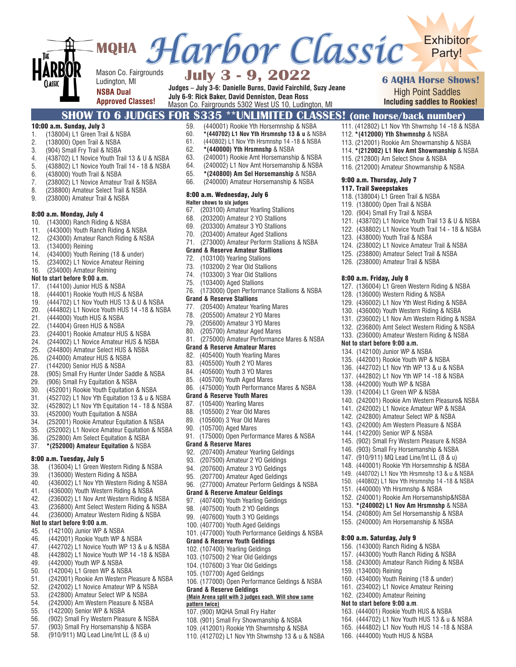#### Mason Co. Fairgrounds Ludington, MI **MQHA** *Harbor Classic* **NSBA Dual Approved Classes! 6 AQHA Horse Shows!** High Point Saddles **Including saddles to Rookies! Exhibitor** Party! **July 3 - 9, 2022 Judges – July 3-6: Danielle Burns, David Fairchild, Suzy Jeane July 6-9: Rick Baker, David Denniston, Dean Ross**  Mason Co. Fairgrounds 5302 West US 10, Ludington, MI

# **SHOW TO 6 JUDGES FOR \$335 \*\*UNLIMITED CLASSES! (one horse/back number)**

113. (212001) Rookie Am Showmanship & NSBA

112. **\*(412000) Yth Shwmnshp** & NSBA

115. (212800) Am Select Show & NSBA

9:00 a.m. Thursday, July 7

117. Trail Sweepstakes

8:00 a.m. Friday, July 8

118. (138004) L1 Green Trail & NSBA

120. (904) Small Fry Trail & NSBA

119. (138000) Open Trail & NSBA

123. (438000) Youth Trail & NSBA

126. (238000) Amateur Trail & NSBA

125. (238800) Amateur Select Trail & NSBA

124. (238002) L1 Novice Amateur Trail & NSBA

127. (136004) L1 Green Western Riding & NSBA 128. (136000) Western Riding & NSBA 129. (436002) L1 Nov Yth West Riding & NSBA 131. (236002) L1 Nov Am Western Riding & NSBA 132. (236800) Amt Select Western Riding & NSBA

116. (212000) Amateur Showmanship & NSBA

130. (436000) Youth Western Riding & NSBA

133. (236000) Amateur Western Riding & NSBA

140. (242001) Rookie Am Western Pleasure& NSBA 141. (242002) L1 Novice Amateur WP & NSBA 142. (242800) Amateur Select WP & NSBA 143. (242000) Am Western Pleasure & NSBA 144. (142200) Senior WP & NSBA

145. (902) Small Fry Western Pleasure & NSBA

147. (910/911) MQ Lead Line/Int LL (8 & u)

(903) Small Fry Horsemanship & NSBA

149. (440702) L1 Nov Yth Hrsmnshp 13 & u & NSBA

148. (440001) Rookie Yth Horsemnship & NSBA 150. (440802) L1 Nov Yth Hrsmnshp 14 -18 & NSBA

152. (240001) Rookie Am Horsemanship&NSBA 153. **\*(240002) L1 Nov Am Hrsmnshp** & NSBA

154. (240800) Am Sel Horsemanship & NSBA

134. (142100) Junior WP & NSBA

138. (442000) Youth WP & NSBA

139. (142004) L1 Green WP & NSBA

151. (440000) Yth Hrsmnshp & NSBA

155. (240000) Am Horsemanship & NSBA

157. (443000) Youth Ranch Riding & NSBA

158. (243000) Amateur Ranch Riding & NSBA

160. (434000) Youth Reining (18 & under)

161. (234002) L1 Novice Amateur Reining

156. (143000) Ranch Riding & NSBA

8:00 a.m. Saturday, July 9

159. (134000) Reining

163. (444001) Rookie Youth HUS & NSBA

164. (444702) L1 Nov Youth HUS 13 & u & NSBA

165. (444802) L1 Nov Youth HUS 14 -18 & NSBA

**Not to start before 9:00 a.m**.

162. (234000) Amateur Reining

166. (444000) Youth HUS & NSBA

135. (442001) Rookie Youth WP & NSBA 136. (442702) L1 Nov Yth WP 13 & u & NSBA 137. (442802) L1 Nov Yth WP 14 -18 & NSBA

**Not to start before 9:00 a.m.**

114. **\*(212002) L1 Nov Amt Showmanship** & NSBA

111. (412802) L1 Nov Yth Shwmshp 14 -18 & NSBA

121. (438702) L1 Novice Youth Trail 13 & U & NSBA

122. (438802) L1 Novice Youth Trail 14 - 18 & NSBA

#### 10:00 a.m. Sunday, July **3**

- 1. (138004) L1 Green Trail & NSBA
- 2. (138000) Open Trail & NSBA
- 3. (904) Small Fry Trail & NSBA
- 4. (438702) L1 Novice Youth Trail 13 & U & NSBA
- 5. (438802) L1 Novice Youth Trail 14 18 & NSBA
- 6. (438000) Youth Trail & NSBA
- (238002) L1 Novice Amateur Trail & NSBA
- 8. (238800) Amateur Select Trail & NSBA<br>9. (238000) Amateur Trail & NSBA
- (238000) Amateur Trail & NSBA

#### 8:00 a.m. Monday, July 4

- 10. (143000) Ranch Riding & NSBA
- 11. (443000) Youth Ranch Riding & NSBA
- 12. (243000) Amateur Ranch Riding & NSBA
- 13. (134000) Reining<br>14 (434000) Youth R
- 14. (434000) Youth Reining (18 & under)
- 15. (234002) L1 Novice Amateur Reining
- 16. (234000) Amateur Reining

#### **Not to start before 9:00 a.m.**

- 17. (144100) Junior HUS & NSBA
- 18. (444001) Rookie Youth HUS & NSBA
- 19. (444702) L1 Nov Youth HUS 13 & U & NSBA
- 20. (444802) L1 Novice Youth HUS 14 -18 & NSBA
- 21. (444000) Youth HUS & NSBA
- 22. (144004) Green HUS & NSBA
- 23. (244001) Rookie Amateur HUS & NSBA
- 24. (244002) L1 Novice Amateur HUS & NSBA
- 25. (244800) Amateur Select HUS & NSBA
- 26. (244000) Amateur HUS & NSBA
- 27. (144200) Senior HUS & NSBA
- 28. (905) Small Fry Hunter Under Saddle & NSBA
- 29. (906) Small Fry Equitation & NSBA<br>30. (452001) Bookie Youth Equitation 8
- 30. (452001) Rookie Youth Equitation & NSBA
- (452702) L1 Nov Yth Equitation 13 & u & NSBA
- 32. (452802) L1 Nov Yth Equitation 14 18 & NSBA
- 33. (452000) Youth Equitation & NSBA
- (252001) Rookie Amateur Equitation & NSBA
- 35. (252002) L1 Novice Amateur Equitation & NSBA
- 36. (252800) Am Select Equitation & NSBA
- 37. **\*(252000) Amateur Equitation** & NSBA

# **8:00 a.m. Tuesday, July 5**<br> $38$   $(136004)$  1.1 Green W

- 38. (136004) L1 Green Western Riding & NSBA
- 39. (136000) Western Riding & NSBA
- 
- 40. (436002) L1 Nov Yth Western Riding & NSBA
- 41. (436000) Youth Western Riding & NSBA 42. (236002) L1 Nov Amt Western Riding & NSBA
- 43. (236800) Amt Select Western Riding & NSBA
- 44. (236000) Amateur Western Riding & NSBA

#### **Not to start before 9:00 a.m.**

- 45. (142100) Junior WP & NSBA
- 46. (442001) Rookie Youth WP & NSBA
- 47. (442702) L1 Novice Youth WP 13 & u & NSBA
- 48. (442802) L1 Novice Youth WP 14 -18 & NSBA
- 49. (442000) Youth WP & NSBA
- 50. (142004) L1 Green WP & NSBA
- 51. (242001) Rookie Am Western Pleasure & NSBA
- (242002) L1 Novice Amateur WP & NSBA
- 53. (242800) Amateur Select WP & NSBA
- 54. (242000) Am Western Pleasure & NSBA
- 55. (142200) Senior WP & NSBA
- 56. (902) Small Fry Western Pleasure & NSBA
- 57. (903) Small Fry Horsemanship & NSBA
- 58. (910/911) MQ Lead Line/Int LL (8 & u)
- 59. (440001) Rookie Yth Horsemnship & NSBA<br>60. \*(440702) L1 Nov Yth Hrsmnshp 13 & u & NS
- 60. **\*(440702) L1 Nov Yth Hrsmnshp 13 & u** & NSBA
- 61. (440802) L1 Nov Yth Hrsmnshp 14 -18 & NSBA
- 62. **\*(440000) Yth Hrsmnshp** & NSBA
- (240001) Rookie Amt Horsemanship & NSBA
- 64. (240002) L1 Nov Amt Horsemanship & NSBA
- 65. **\*(240800) Am Sel Horsemanship** & NSBA
- 66. (240000) Amateur Horsemanship & NSBA

# 8:00 a.m. Wednesday, July 6

- **Halter shows to six judges** 67. (203100) Amateur Yearling Stallions
- 68. (203200) Amateur 2 YO Stallions
- 69. (203300) Amateur 3 YO Stallions
- 70. (203400) Amateur Aged Stallions
- 
- 71. (273000) Amateur Perform Stallions & NSBA

#### 72. (103100) Yearling Stallions **Grand & Reserve Amateur Stallions**

- 73. (103200) 2 Year Old Stallions
- 
- 74. (103300) 3 Year Old Stallions
- 75. (103400) Aged Stallions
- 76. (173000) Open Performance Stallions & NSBA

# **Grand & Reserve Stallions**

- 77. (205400) Amateur Yearling Mares
- 78. (205500) Amateur 2 YO Mares
- 79. (205600) Amateur 3 YO Mares
- 80. (205700) Amateur Aged Mares
- 81. (275000) Amateur Performance Mares & NSBA

#### **Grand & Reserve Amateur Mares**

- 82. (405400) Youth Yearling Mares<br>83. (405500) Youth 2 YO Mares
- 83. (405500) Youth 2 YO Mares
- 84. (405600) Youth 3 YO Mares
- 85. (405700) Youth Aged Mares<br>86. (475000) Youth Performance

100. (407700) Youth Aged Geldings

98. (407500) Youth 2 YO Geldings

99. (407600) Youth 3 YO Geldings

97. (407400) Youth Yearling Geldings

**Grand & Reserve Amateur Geldings**

93. (207500) Amateur 2 YO Geldings

94. (207600) Amateur 3 YO Geldings

95. (207700) Amateur Aged Geldings

92. (207400) Amateur Yearling Geldings

**Grand & Reserve Geldings**

**pattern twice)**

105. (107700) Aged Geldings

102. (107400) Yearling Geldings

**Grand & Reserve Youth Geldings**

103. (107500) 2 Year Old Geldings

104. (107600) 3 Year Old Geldings

107. (900) MQHA Small Fry Halter

106. (177000) Open Performance Geldings & NSBA

**(Main Arena split with 3 judges each. Will show same** 

101. (477000) Youth Performance Geldings & NSBA

96. (277000) Amateur Perform Geldings & NSBA

110. (412702) L1 Nov Yth Shwmshp 13 & u & NSBA

108. (901) Small Fry Showmanship & NSBA 109. (412001) Rookie Yth Shwmnshp & NSBA

(475000) Youth Performance Mares & NSBA

91. (175000) Open Performance Mares & NSBA

#### **Grand & Reserve Youth Mares**

87. (105400) Yearling Mares 88. (105500) 2 Year Old Mares

**Grand & Reserve Mares** 90. (105700) Aged Mares

89. (105600) 3 Year Old Mares